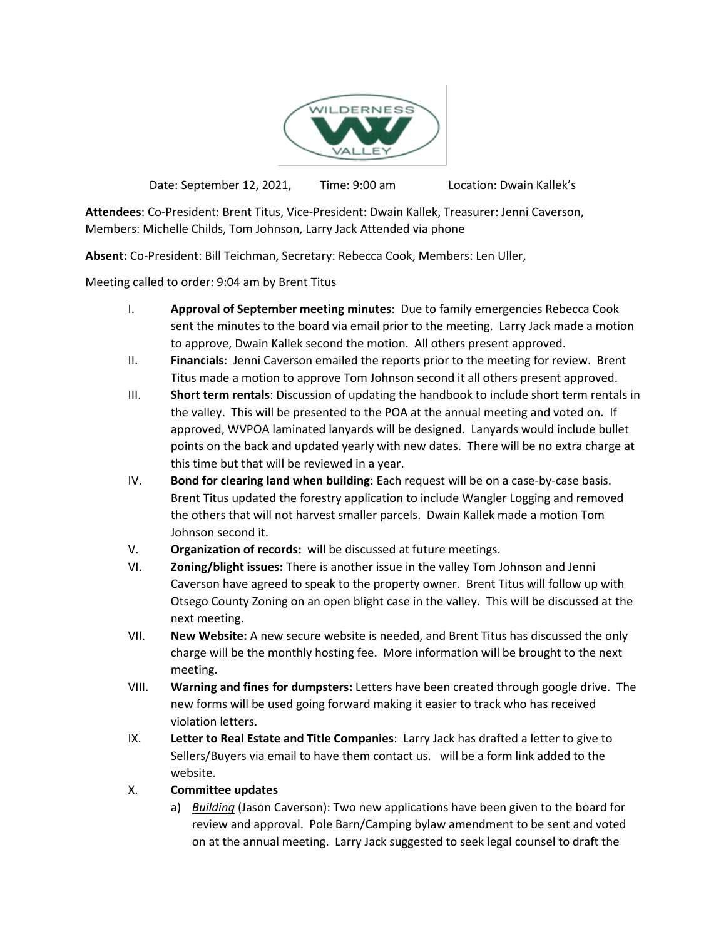

Date: September 12, 2021, Time: 9:00 am Location: Dwain Kallek's

**Attendees**: Co-President: Brent Titus, Vice-President: Dwain Kallek, Treasurer: Jenni Caverson, Members: Michelle Childs, Tom Johnson, Larry Jack Attended via phone

**Absent:** Co-President: Bill Teichman, Secretary: Rebecca Cook, Members: Len Uller,

Meeting called to order: 9:04 am by Brent Titus

- I. **Approval of September meeting minutes**: Due to family emergencies Rebecca Cook sent the minutes to the board via email prior to the meeting. Larry Jack made a motion to approve, Dwain Kallek second the motion. All others present approved.
- II. **Financials**: Jenni Caverson emailed the reports prior to the meeting for review. Brent Titus made a motion to approve Tom Johnson second it all others present approved.
- III. **Short term rentals**: Discussion of updating the handbook to include short term rentals in the valley. This will be presented to the POA at the annual meeting and voted on. If approved, WVPOA laminated lanyards will be designed. Lanyards would include bullet points on the back and updated yearly with new dates. There will be no extra charge at this time but that will be reviewed in a year.
- IV. **Bond for clearing land when building**: Each request will be on a case-by-case basis. Brent Titus updated the forestry application to include Wangler Logging and removed the others that will not harvest smaller parcels. Dwain Kallek made a motion Tom Johnson second it.
- V. **Organization of records:** will be discussed at future meetings.
- VI. **Zoning/blight issues:** There is another issue in the valley Tom Johnson and Jenni Caverson have agreed to speak to the property owner. Brent Titus will follow up with Otsego County Zoning on an open blight case in the valley. This will be discussed at the next meeting.
- VII. **New Website:** A new secure website is needed, and Brent Titus has discussed the only charge will be the monthly hosting fee. More information will be brought to the next meeting.
- VIII. **Warning and fines for dumpsters:** Letters have been created through google drive. The new forms will be used going forward making it easier to track who has received violation letters.
- IX. **Letter to Real Estate and Title Companies**: Larry Jack has drafted a letter to give to Sellers/Buyers via email to have them contact us. will be a form link added to the website.

## X. **Committee updates**

a) *Building* (Jason Caverson): Two new applications have been given to the board for review and approval. Pole Barn/Camping bylaw amendment to be sent and voted on at the annual meeting. Larry Jack suggested to seek legal counsel to draft the